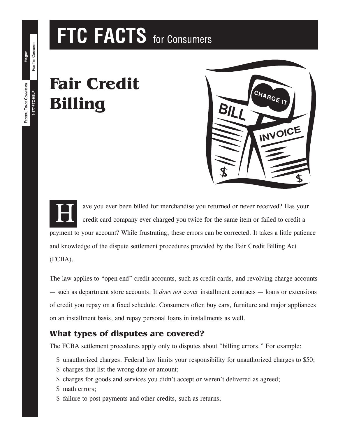# **FTC FACTS** for Consumers

## **Fair Credit Billing**



ave you ever been billed for merchandise you returned or never received? Has your credit card company ever charged you twice for the same item or failed to credit a payment to your account? While frustrating, these errors can be corrected. It takes a little patience and knowledge of the dispute settlement procedures provided by the Fair Credit Billing Act (FCBA).

The law applies to "open end" credit accounts, such as credit cards, and revolving charge accounts — such as department store accounts. It *does not* cover installment contracts — loans or extensions of credit you repay on a fixed schedule. Consumers often buy cars, furniture and major appliances on an installment basis, and repay personal loans in installments as well.

#### **What types of disputes are covered?**

The FCBA settlement procedures apply only to disputes about "billing errors." For example:

- \$ unauthorized charges. Federal law limits your responsibility for unauthorized charges to \$50;
- \$ charges that list the wrong date or amount;
- \$ charges for goods and services you didn't accept or weren't delivered as agreed;
- \$ math errors;
- \$ failure to post payments and other credits, such as returns;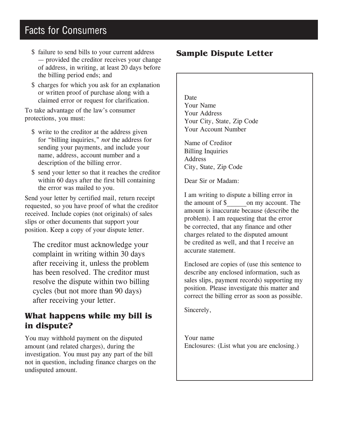### Facts for Consumers

- \$ failure to send bills to your current address — provided the creditor receives your change of address, in writing, at least 20 days before the billing period ends; and
- \$ charges for which you ask for an explanation or written proof of purchase along with a claimed error or request for clarification.

To take advantage of the law's consumer protections, you must:

- \$ write to the creditor at the address given for "billing inquiries," *not* the address for sending your payments, and include your name, address, account number and a description of the billing error.
- \$ send your letter so that it reaches the creditor within 60 days after the first bill containing the error was mailed to you.

Send your letter by certified mail, return receipt requested, so you have proof of what the creditor received. Include copies (not originals) of sales slips or other documents that support your position. Keep a copy of your dispute letter.

The creditor must acknowledge your complaint in writing within 30 days after receiving it, unless the problem has been resolved. The creditor must resolve the dispute within two billing cycles (but not more than 90 days) after receiving your letter.

#### **What happens while my bill is in dispute?**

You may withhold payment on the disputed amount (and related charges), during the investigation. You must pay any part of the bill not in question, including finance charges on the undisputed amount.

#### **Sample Dispute Letter**

Date Your Name Your Address Your City, State, Zip Code Your Account Number

Name of Creditor Billing Inquiries Address City, State, Zip Code

Dear Sir or Madam:

I am writing to dispute a billing error in the amount of \$ con my account. The amount is inaccurate because (describe the problem). I am requesting that the error be corrected, that any finance and other charges related to the disputed amount be credited as well, and that I receive an accurate statement.

Enclosed are copies of (use this sentence to describe any enclosed information, such as sales slips, payment records) supporting my position. Please investigate this matter and correct the billing error as soon as possible.

Sincerely,

Your name Enclosures: (List what you are enclosing.)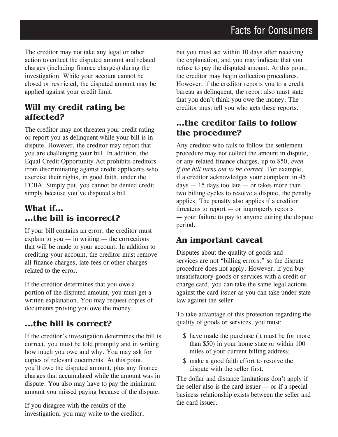The creditor may not take any legal or other action to collect the disputed amount and related charges (including finance charges) during the investigation. While your account cannot be closed or restricted, the disputed amount may be applied against your credit limit.

#### **Will my credit rating be affected?**

The creditor may not threaten your credit rating or report you as delinquent while your bill is in dispute. However, the creditor may report that you are challenging your bill. In addition, the Equal Credit Opportunity Act prohibits creditors from discriminating against credit applicants who exercise their rights, in good faith, under the FCBA. Simply put, you cannot be denied credit simply because you've disputed a bill.

#### **What if... ...the bill is incorrect?**

If your bill contains an error, the creditor must explain to you  $-$  in writing  $-$  the corrections that will be made to your account. In addition to crediting your account, the creditor must remove all finance charges, late fees or other charges related to the error.

If the creditor determines that you owe a portion of the disputed amount, you must get a written explanation. You may request copies of documents proving you owe the money.

#### **...the bill is correct?**

If the creditor's investigation determines the bill is correct, you must be told promptly and in writing how much you owe and why. You may ask for copies of relevant documents. At this point, you'll owe the disputed amount, plus any finance charges that accumulated while the amount was in dispute. You also may have to pay the minimum amount you missed paying because of the dispute.

If you disagree with the results of the investigation, you may write to the creditor,

but you must act within 10 days after receiving the explanation, and you may indicate that you refuse to pay the disputed amount. At this point, the creditor may begin collection procedures. However, if the creditor reports you to a credit bureau as delinquent, the report also must state that you don't think you owe the money. The creditor must tell you who gets these reports.

#### **...the creditor fails to follow the procedure?**

Any creditor who fails to follow the settlement procedure may not collect the amount in dispute, or any related finance charges, up to \$50, *even if the bill turns out to be correct*. For example, if a creditor acknowledges your complaint in 45  $days - 15$  days too late  $-$  or takes more than two billing cycles to resolve a dispute, the penalty applies. The penalty also applies if a creditor threatens to report — or improperly reports — your failure to pay to anyone during the dispute period.

#### **An important caveat**

Disputes about the quality of goods and services are not "billing errors," so the dispute procedure does not apply. However, if you buy unsatisfactory goods or services with a credit or charge card, you can take the same legal actions against the card issuer as you can take under state law against the seller.

To take advantage of this protection regarding the quality of goods or services, you must:

- \$ have made the purchase (it must be for more than \$50) in your home state or within 100 miles of your current billing address;
- \$ make a good faith effort to resolve the dispute with the seller first.

The dollar and distance limitations don't apply if the seller also is the card issuer  $-$  or if a special business relationship exists between the seller and the card issuer.